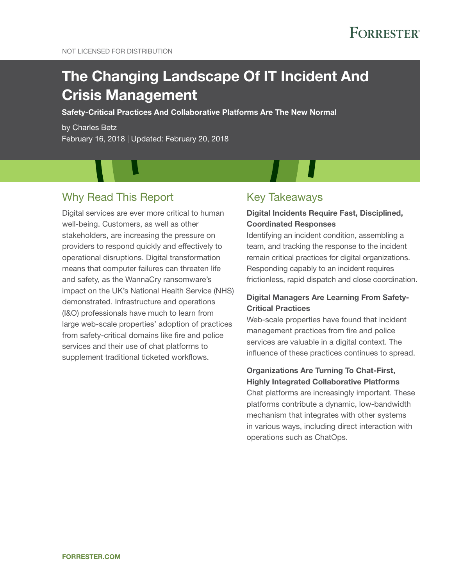# The Changing Landscape Of IT Incident And Crisis Management

Safety-Critical Practices And Collaborative Platforms Are The New Normal

by Charles Betz February 16, 2018 | Updated: February 20, 2018

# Why Read This Report

Digital services are ever more critical to human well-being. Customers, as well as other stakeholders, are increasing the pressure on providers to respond quickly and effectively to operational disruptions. Digital transformation means that computer failures can threaten life and safety, as the WannaCry ransomware's impact on the UK's National Health Service (NHS) demonstrated. Infrastructure and operations (I&O) professionals have much to learn from large web-scale properties' adoption of practices from safety-critical domains like fire and police services and their use of chat platforms to supplement traditional ticketed workflows.

## Key Takeaways

### Digital Incidents Require Fast, Disciplined, Coordinated Responses

Identifying an incident condition, assembling a team, and tracking the response to the incident remain critical practices for digital organizations. Responding capably to an incident requires frictionless, rapid dispatch and close coordination.

### Digital Managers Are Learning From Safety-Critical Practices

Web-scale properties have found that incident management practices from fire and police services are valuable in a digital context. The influence of these practices continues to spread.

### Organizations Are Turning To Chat-First, Highly Integrated Collaborative Platforms

Chat platforms are increasingly important. These platforms contribute a dynamic, low-bandwidth mechanism that integrates with other systems in various ways, including direct interaction with operations such as ChatOps.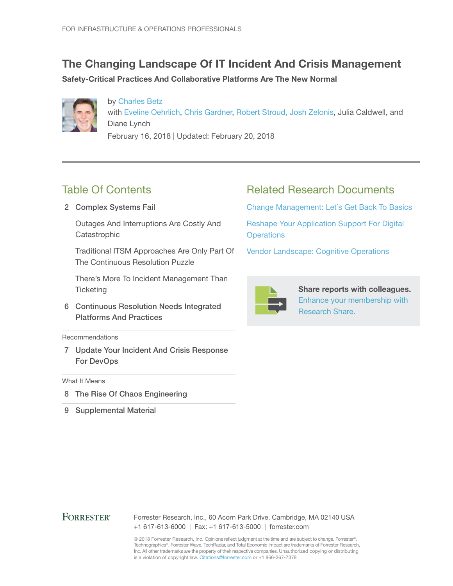# The Changing Landscape Of IT Incident And Crisis Management

Safety-Critical Practices And Collaborative Platforms Are The New Normal



by [Charles Betz](http://www.forrester.com/go?objectid=BIO12104) with [Eveline Oehrlich](http://www.forrester.com/go?objectid=BIO1241), [Chris Gardner,](http://www.forrester.com/go?objectid=BIO11784) [Robert Stroud, Josh Zelonis](http://www.forrester.com/go?objectid=BIO11384), Julia Caldwell, and Diane Lynch February 16, 2018 | Updated: February 20, 2018

# Table Of Contents

2 Complex Systems Fail

Outages And Interruptions Are Costly And **Catastrophic** 

Traditional ITSM Approaches Are Only Part Of The Continuous Resolution Puzzle

There's More To Incident Management Than **Ticketing** 

6 Continuous Resolution Needs Integrated Platforms And Practices

#### Recommendations

7 Update Your Incident And Crisis Response For DevOps

#### What It Means

- 8 The Rise Of Chaos Engineering
- 9 Supplemental Material

# Related Research Documents

[Change Management: Let's Get Back To Basics](http://www.forrester.com/go?objectid=RES138029)

[Reshape Your Application Support For Digital](http://www.forrester.com/go?objectid=RES137854)  **[Operations](http://www.forrester.com/go?objectid=RES137854)** 

[Vendor Landscape: Cognitive Operations](http://www.forrester.com/go?objectid=RES124321) 



Share reports with colleagues. [Enhance your membership with](https://go.forrester.com/research/research-share/?utm_source=forrester_com&utm_medium=banner&utm_content=featured&utm_campaign=research_share)  [Research Share.](https://go.forrester.com/research/research-share/?utm_source=forrester_com&utm_medium=banner&utm_content=featured&utm_campaign=research_share)

### **FORRESTER®**

Forrester Research, Inc., 60 Acorn Park Drive, Cambridge, MA 02140 USA +1 617-613-6000 | Fax: +1 617-613-5000 | forrester.com

© 2018 Forrester Research, Inc. Opinions reflect judgment at the time and are subject to change. Forrester®, Technographics®, Forrester Wave, TechRadar, and Total Economic Impact are trademarks of Forrester Research, Inc. All other trademarks are the property of their respective companies. Unauthorized copying or distributing is a violation of copyright law. Citations@forrester.com or +1 866-367-7378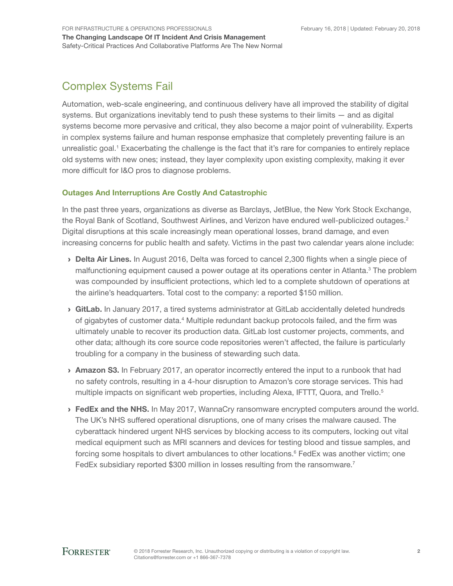For Infrastructure & Operations Professionals

The Changing Landscape Of IT Incident And Crisis Management Safety-Critical Practices And Collaborative Platforms Are The New Normal

# Complex Systems Fail

Automation, web-scale engineering, and continuous delivery have all improved the stability of digital systems. But organizations inevitably tend to push these systems to their limits — and as digital systems become more pervasive and critical, they also become a major point of vulnerability. Experts in complex systems failure and human response emphasize that completely preventing failure is an unrealistic goal.<sup>1</sup> Exacerbating the challenge is the fact that it's rare for companies to entirely replace old systems with new ones; instead, they layer complexity upon existing complexity, making it ever more difficult for I&O pros to diagnose problems.

### Outages And Interruptions Are Costly And Catastrophic

In the past three years, organizations as diverse as Barclays, JetBlue, the New York Stock Exchange, the Royal Bank of Scotland, Southwest Airlines, and Verizon have endured well-publicized outages.<sup>2</sup> Digital disruptions at this scale increasingly mean operational losses, brand damage, and even increasing concerns for public health and safety. Victims in the past two calendar years alone include:

- **Delta Air Lines.** In August 2016, Delta was forced to cancel 2,300 flights when a single piece of malfunctioning equipment caused a power outage at its operations center in Atlanta.<sup>3</sup> The problem was compounded by insufficient protections, which led to a complete shutdown of operations at the airline's headquarters. Total cost to the company: a reported \$150 million.
- › GitLab. In January 2017, a tired systems administrator at GitLab accidentally deleted hundreds of gigabytes of customer data.<sup>4</sup> Multiple redundant backup protocols failed, and the firm was ultimately unable to recover its production data. GitLab lost customer projects, comments, and other data; although its core source code repositories weren't affected, the failure is particularly troubling for a company in the business of stewarding such data.
- **> Amazon S3.** In February 2017, an operator incorrectly entered the input to a runbook that had no safety controls, resulting in a 4-hour disruption to Amazon's core storage services. This had multiple impacts on significant web properties, including Alexa, IFTTT, Quora, and Trello.<sup>5</sup>
- **> FedEx and the NHS.** In May 2017, WannaCry ransomware encrypted computers around the world. The UK's NHS suffered operational disruptions, one of many crises the malware caused. The cyberattack hindered urgent NHS services by blocking access to its computers, locking out vital medical equipment such as MRI scanners and devices for testing blood and tissue samples, and forcing some hospitals to divert ambulances to other locations.<sup>6</sup> FedEx was another victim; one FedEx subsidiary reported \$300 million in losses resulting from the ransomware.<sup>7</sup>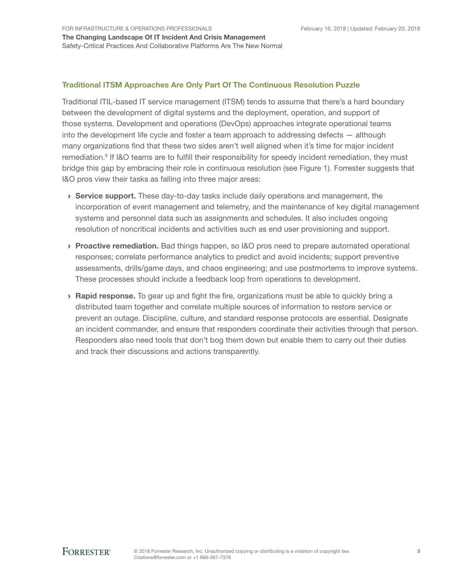### Traditional ITSM Approaches Are Only Part Of The Continuous Resolution Puzzle

Traditional ITIL-based IT service management (ITSM) tends to assume that there's a hard boundary between the development of digital systems and the deployment, operation, and support of those systems. Development and operations (DevOps) approaches integrate operational teams into the development life cycle and foster a team approach to addressing defects — although many organizations find that these two sides aren't well aligned when it's time for major incident remediation.<sup>8</sup> If I&O teams are to fulfill their responsibility for speedy incident remediation, they must bridge this gap by embracing their role in continuous resolution (see Figure 1). Forrester suggests that I&O pros view their tasks as falling into three major areas:

- › Service support. These day-to-day tasks include daily operations and management, the incorporation of event management and telemetry, and the maintenance of key digital management systems and personnel data such as assignments and schedules. It also includes ongoing resolution of noncritical incidents and activities such as end user provisioning and support.
- **Proactive remediation.** Bad things happen, so I&O pros need to prepare automated operational responses; correlate performance analytics to predict and avoid incidents; support preventive assessments, drills/game days, and chaos engineering; and use postmortems to improve systems. These processes should include a feedback loop from operations to development.
- **Rapid response.** To gear up and fight the fire, organizations must be able to quickly bring a distributed team together and correlate multiple sources of information to restore service or prevent an outage. Discipline, culture, and standard response protocols are essential. Designate an incident commander, and ensure that responders coordinate their activities through that person. Responders also need tools that don't bog them down but enable them to carry out their duties and track their discussions and actions transparently.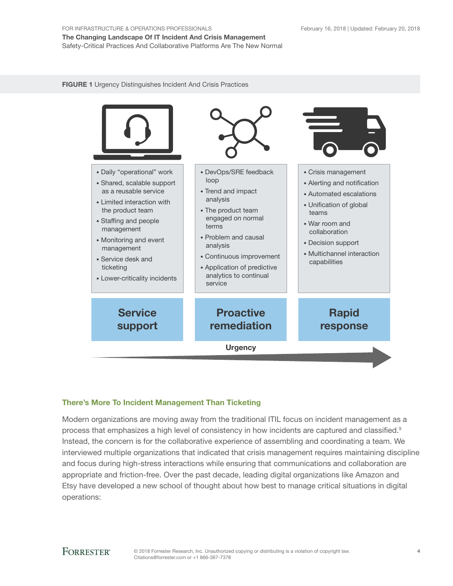The Changing Landscape Of IT Incident And Crisis Management Safety-Critical Practices And Collaborative Platforms Are The New Normal

FIGURE 1 Urgency Distinguishes Incident And Crisis Practices



### There's More To Incident Management Than Ticketing

Modern organizations are moving away from the traditional ITIL focus on incident management as a process that emphasizes a high level of consistency in how incidents are captured and classified.<sup>9</sup> Instead, the concern is for the collaborative experience of assembling and coordinating a team. We interviewed multiple organizations that indicated that crisis management requires maintaining discipline and focus during high-stress interactions while ensuring that communications and collaboration are appropriate and friction-free. Over the past decade, leading digital organizations like Amazon and Etsy have developed a new school of thought about how best to manage critical situations in digital operations: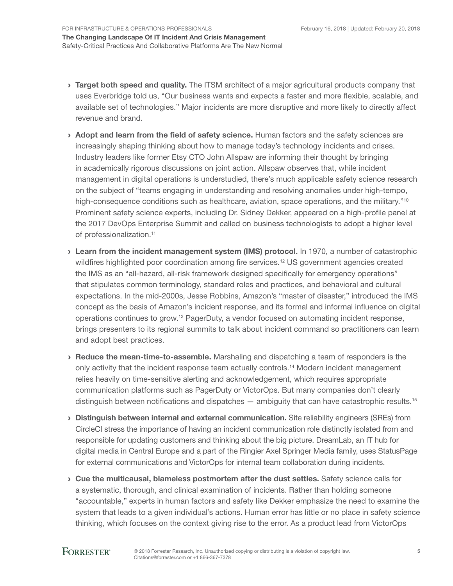- > Target both speed and quality. The ITSM architect of a major agricultural products company that uses Everbridge told us, "Our business wants and expects a faster and more flexible, scalable, and available set of technologies." Major incidents are more disruptive and more likely to directly affect revenue and brand.
- › Adopt and learn from the field of safety science. Human factors and the safety sciences are increasingly shaping thinking about how to manage today's technology incidents and crises. Industry leaders like former Etsy CTO John Allspaw are informing their thought by bringing in academically rigorous discussions on joint action. Allspaw observes that, while incident management in digital operations is understudied, there's much applicable safety science research on the subject of "teams engaging in understanding and resolving anomalies under high-tempo, high-consequence conditions such as healthcare, aviation, space operations, and the military."<sup>10</sup> Prominent safety science experts, including Dr. Sidney Dekker, appeared on a high-profile panel at the 2017 DevOps Enterprise Summit and called on business technologists to adopt a higher level of professionalization.<sup>11</sup>
- **Learn from the incident management system (IMS) protocol.** In 1970, a number of catastrophic wildfires highlighted poor coordination among fire services.<sup>12</sup> US government agencies created the IMS as an "all-hazard, all-risk framework designed specifically for emergency operations" that stipulates common terminology, standard roles and practices, and behavioral and cultural expectations. In the mid-2000s, Jesse Robbins, Amazon's "master of disaster," introduced the IMS concept as the basis of Amazon's incident response, and its formal and informal influence on digital operations continues to grow.13 PagerDuty, a vendor focused on automating incident response, brings presenters to its regional summits to talk about incident command so practitioners can learn and adopt best practices.
- › Reduce the mean-time-to-assemble. Marshaling and dispatching a team of responders is the only activity that the incident response team actually controls.14 Modern incident management relies heavily on time-sensitive alerting and acknowledgement, which requires appropriate communication platforms such as PagerDuty or VictorOps. But many companies don't clearly distinguish between notifications and dispatches — ambiguity that can have catastrophic results.<sup>15</sup>
- › Distinguish between internal and external communication. Site reliability engineers (SREs) from CircleCI stress the importance of having an incident communication role distinctly isolated from and responsible for updating customers and thinking about the big picture. DreamLab, an IT hub for digital media in Central Europe and a part of the Ringier Axel Springer Media family, uses StatusPage for external communications and VictorOps for internal team collaboration during incidents.
- › Cue the multicausal, blameless postmortem after the dust settles. Safety science calls for a systematic, thorough, and clinical examination of incidents. Rather than holding someone "accountable," experts in human factors and safety like Dekker emphasize the need to examine the system that leads to a given individual's actions. Human error has little or no place in safety science thinking, which focuses on the context giving rise to the error. As a product lead from VictorOps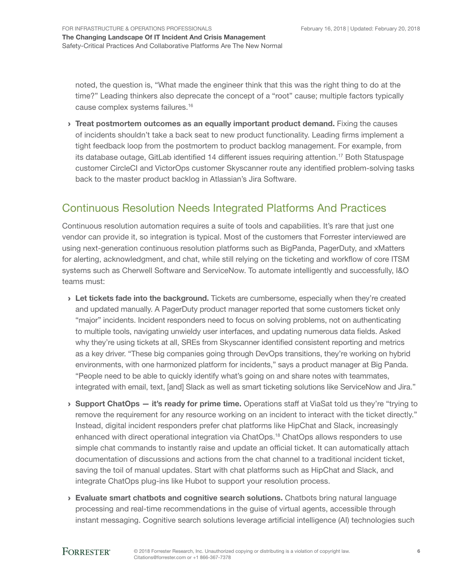noted, the question is, "What made the engineer think that this was the right thing to do at the time?" Leading thinkers also deprecate the concept of a "root" cause; multiple factors typically cause complex systems failures.<sup>16</sup>

> Treat postmortem outcomes as an equally important product demand. Fixing the causes of incidents shouldn't take a back seat to new product functionality. Leading firms implement a tight feedback loop from the postmortem to product backlog management. For example, from its database outage, GitLab identified 14 different issues requiring attention.17 Both Statuspage customer CircleCI and VictorOps customer Skyscanner route any identified problem-solving tasks back to the master product backlog in Atlassian's Jira Software.

# Continuous Resolution Needs Integrated Platforms And Practices

Continuous resolution automation requires a suite of tools and capabilities. It's rare that just one vendor can provide it, so integration is typical. Most of the customers that Forrester interviewed are using next-generation continuous resolution platforms such as BigPanda, PagerDuty, and xMatters for alerting, acknowledgment, and chat, while still relying on the ticketing and workflow of core ITSM systems such as Cherwell Software and ServiceNow. To automate intelligently and successfully, I&O teams must:

- > Let tickets fade into the background. Tickets are cumbersome, especially when they're created and updated manually. A PagerDuty product manager reported that some customers ticket only "major" incidents. Incident responders need to focus on solving problems, not on authenticating to multiple tools, navigating unwieldy user interfaces, and updating numerous data fields. Asked why they're using tickets at all, SREs from Skyscanner identified consistent reporting and metrics as a key driver. "These big companies going through DevOps transitions, they're working on hybrid environments, with one harmonized platform for incidents," says a product manager at Big Panda. "People need to be able to quickly identify what's going on and share notes with teammates, integrated with email, text, [and] Slack as well as smart ticketing solutions like ServiceNow and Jira."
- $\rightarrow$  Support ChatOps it's ready for prime time. Operations staff at ViaSat told us they're "trying to remove the requirement for any resource working on an incident to interact with the ticket directly." Instead, digital incident responders prefer chat platforms like HipChat and Slack, increasingly enhanced with direct operational integration via ChatOps.<sup>18</sup> ChatOps allows responders to use simple chat commands to instantly raise and update an official ticket. It can automatically attach documentation of discussions and actions from the chat channel to a traditional incident ticket, saving the toil of manual updates. Start with chat platforms such as HipChat and Slack, and integrate ChatOps plug-ins like Hubot to support your resolution process.
- › Evaluate smart chatbots and cognitive search solutions. Chatbots bring natural language processing and real-time recommendations in the guise of virtual agents, accessible through instant messaging. Cognitive search solutions leverage artificial intelligence (AI) technologies such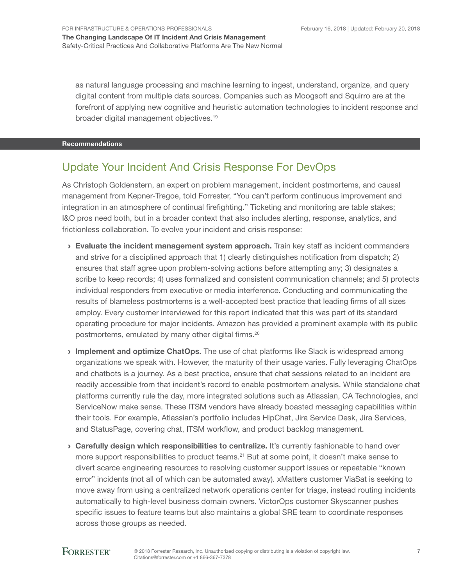as natural language processing and machine learning to ingest, understand, organize, and query digital content from multiple data sources. Companies such as Moogsoft and Squirro are at the forefront of applying new cognitive and heuristic automation technologies to incident response and broader digital management objectives.<sup>19</sup>

#### Recommendations

## Update Your Incident And Crisis Response For DevOps

As Christoph Goldenstern, an expert on problem management, incident postmortems, and causal management from Kepner-Tregoe, told Forrester, "You can't perform continuous improvement and integration in an atmosphere of continual firefighting." Ticketing and monitoring are table stakes; I&O pros need both, but in a broader context that also includes alerting, response, analytics, and frictionless collaboration. To evolve your incident and crisis response:

- $\rightarrow$  Evaluate the incident management system approach. Train key staff as incident commanders and strive for a disciplined approach that 1) clearly distinguishes notification from dispatch; 2) ensures that staff agree upon problem-solving actions before attempting any; 3) designates a scribe to keep records; 4) uses formalized and consistent communication channels; and 5) protects individual responders from executive or media interference. Conducting and communicating the results of blameless postmortems is a well-accepted best practice that leading firms of all sizes employ. Every customer interviewed for this report indicated that this was part of its standard operating procedure for major incidents. Amazon has provided a prominent example with its public postmortems, emulated by many other digital firms.<sup>20</sup>
- Implement and optimize ChatOps. The use of chat platforms like Slack is widespread among organizations we speak with. However, the maturity of their usage varies. Fully leveraging ChatOps and chatbots is a journey. As a best practice, ensure that chat sessions related to an incident are readily accessible from that incident's record to enable postmortem analysis. While standalone chat platforms currently rule the day, more integrated solutions such as Atlassian, CA Technologies, and ServiceNow make sense. These ITSM vendors have already boasted messaging capabilities within their tools. For example, Atlassian's portfolio includes HipChat, Jira Service Desk, Jira Services, and StatusPage, covering chat, ITSM workflow, and product backlog management.
- › Carefully design which responsibilities to centralize. It's currently fashionable to hand over more support responsibilities to product teams.<sup>21</sup> But at some point, it doesn't make sense to divert scarce engineering resources to resolving customer support issues or repeatable "known error" incidents (not all of which can be automated away). xMatters customer ViaSat is seeking to move away from using a centralized network operations center for triage, instead routing incidents automatically to high-level business domain owners. VictorOps customer Skyscanner pushes specific issues to feature teams but also maintains a global SRE team to coordinate responses across those groups as needed.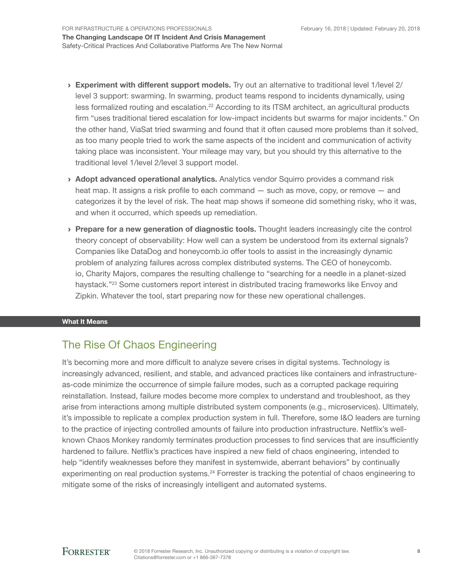- › Experiment with different support models. Try out an alternative to traditional level 1/level 2/ level 3 support: swarming. In swarming, product teams respond to incidents dynamically, using less formalized routing and escalation.22 According to its ITSM architect, an agricultural products firm "uses traditional tiered escalation for low-impact incidents but swarms for major incidents." On the other hand, ViaSat tried swarming and found that it often caused more problems than it solved, as too many people tried to work the same aspects of the incident and communication of activity taking place was inconsistent. Your mileage may vary, but you should try this alternative to the traditional level 1/level 2/level 3 support model.
- › Adopt advanced operational analytics. Analytics vendor Squirro provides a command risk heat map. It assigns a risk profile to each command — such as move, copy, or remove — and categorizes it by the level of risk. The heat map shows if someone did something risky, who it was, and when it occurred, which speeds up remediation.
- › Prepare for a new generation of diagnostic tools. Thought leaders increasingly cite the control theory concept of observability: How well can a system be understood from its external signals? Companies like DataDog and honeycomb.io offer tools to assist in the increasingly dynamic problem of analyzing failures across complex distributed systems. The CEO of honeycomb. io, Charity Majors, compares the resulting challenge to "searching for a needle in a planet-sized haystack."<sup>23</sup> Some customers report interest in distributed tracing frameworks like Envoy and Zipkin. Whatever the tool, start preparing now for these new operational challenges.

#### What It Means

# The Rise Of Chaos Engineering

It's becoming more and more difficult to analyze severe crises in digital systems. Technology is increasingly advanced, resilient, and stable, and advanced practices like containers and infrastructureas-code minimize the occurrence of simple failure modes, such as a corrupted package requiring reinstallation. Instead, failure modes become more complex to understand and troubleshoot, as they arise from interactions among multiple distributed system components (e.g., microservices). Ultimately, it's impossible to replicate a complex production system in full. Therefore, some I&O leaders are turning to the practice of injecting controlled amounts of failure into production infrastructure. Netflix's wellknown Chaos Monkey randomly terminates production processes to find services that are insufficiently hardened to failure. Netflix's practices have inspired a new field of chaos engineering, intended to help "identify weaknesses before they manifest in systemwide, aberrant behaviors" by continually experimenting on real production systems.<sup>24</sup> Forrester is tracking the potential of chaos engineering to mitigate some of the risks of increasingly intelligent and automated systems.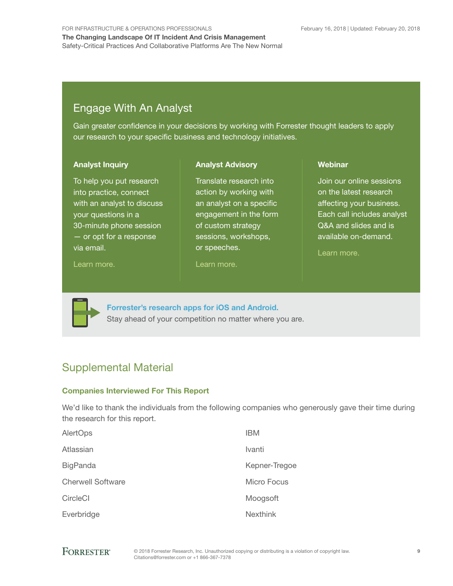# Engage With An Analyst

Gain greater confidence in your decisions by working with Forrester thought leaders to apply our research to your specific business and technology initiatives.

> Translate research into action by working with an analyst on a specific engagement in the form of custom strategy sessions, workshops,

Analyst Advisory

#### Analyst Inquiry

To help you put research into practice, connect with an analyst to discuss your questions in a 30-minute phone session — or opt for a response via email.

#### [Learn more.](http://forr.com/1einFan)

or speeches.

[Learn more.](http://www.forrester.com/Analyst-Advisory/-/E-MPL172)

#### **Webinar**

Join our online sessions on the latest research affecting your business. Each call includes analyst Q&A and slides and is available on-demand.

[Learn more](https://www.forrester.com/events?N=10006+5025).



[Forrester's research apps for iOS and Android.](http://www.forrester.com/app) Stay ahead of your competition no matter where you are.

# Supplemental Material

### Companies Interviewed For This Report

We'd like to thank the individuals from the following companies who generously gave their time during the research for this report.

| AlertOps                 | <b>IBM</b>      |
|--------------------------|-----------------|
| Atlassian                | Ivanti          |
| <b>BigPanda</b>          | Kepner-Tregoe   |
| <b>Cherwell Software</b> | Micro Focus     |
| CircleCl                 | Moogsoft        |
| Everbridge               | <b>Nexthink</b> |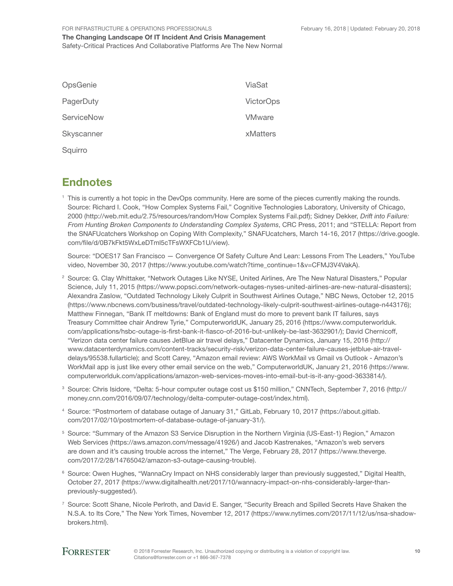February 16, 2018 | Updated: February 20, 2018

#### For Infrastructure & Operations Professionals

The Changing Landscape Of IT Incident And Crisis Management Safety-Critical Practices And Collaborative Platforms Are The New Normal

| OpsGenie   | ViaSat           |
|------------|------------------|
| PagerDuty  | <b>VictorOps</b> |
| ServiceNow | <b>VMware</b>    |
| Skyscanner | xMatters         |
| Squirro    |                  |

# **Endnotes**

<sup>1</sup> This is currently a hot topic in the DevOps community. Here are some of the pieces currently making the rounds. Source: Richard I. Cook, "How Complex Systems Fail," Cognitive Technologies Laboratory, University of Chicago, 2000 (http://web.mit.edu/2.75/resources/random/How Complex Systems Fail.pdf); Sidney Dekker, *Drift into Failure: From Hunting Broken Components to Understanding Complex Systems*, CRC Press, 2011; and "STELLA: Report from the SNAFUcatchers Workshop on Coping With Complexity," SNAFUcatchers, March 14-16, 2017 (https://drive.google. com/file/d/0B7kFkt5WxLeDTml5cTFsWXFCb1U/view).

Source: "DOES17 San Francisco — Convergence Of Safety Culture And Lean: Lessons From The Leaders," YouTube video, November 30, 2017 (https://www.youtube.com/watch?time\_continue=1&v=CFMJ3V4VakA).

- <sup>2</sup> Source: G. Clay Whittaker, "Network Outages Like NYSE, United Airlines, Are The New Natural Disasters," Popular Science, July 11, 2015 (https://www.popsci.com/network-outages-nyses-united-airlines-are-new-natural-disasters); Alexandra Zaslow, "Outdated Technology Likely Culprit in Southwest Airlines Outage," NBC News, October 12, 2015 (https://www.nbcnews.com/business/travel/outdated-technology-likely-culprit-southwest-airlines-outage-n443176); Matthew Finnegan, "Bank IT meltdowns: Bank of England must do more to prevent bank IT failures, says Treasury Committee chair Andrew Tyrie," ComputerworldUK, January 25, 2016 (https://www.computerworlduk. com/applications/hsbc-outage-is-first-bank-it-fiasco-of-2016-but-unlikely-be-last-3632901/); David Chernicoff, "Verizon data center failure causes JetBlue air travel delays," Datacenter Dynamics, January 15, 2016 (http:// www.datacenterdynamics.com/content-tracks/security-risk/verizon-data-center-failure-causes-jetblue-air-traveldelays/95538.fullarticle); and Scott Carey, "Amazon email review: AWS WorkMail vs Gmail vs Outlook - Amazon's WorkMail app is just like every other email service on the web," ComputerworldUK, January 21, 2016 (https://www. computerworlduk.com/applications/amazon-web-services-moves-into-email-but-is-it-any-good-3633814/).
- <sup>3</sup> Source: Chris Isidore, "Delta: 5-hour computer outage cost us \$150 million," CNNTech, September 7, 2016 (http:// money.cnn.com/2016/09/07/technology/delta-computer-outage-cost/index.html).
- <sup>4</sup> Source: "Postmortem of database outage of January 31," GitLab, February 10, 2017 (https://about.gitlab. com/2017/02/10/postmortem-of-database-outage-of-january-31/).
- <sup>5</sup> Source: "Summary of the Amazon S3 Service Disruption in the Northern Virginia (US-East-1) Region," Amazon Web Services (https://aws.amazon.com/message/41926/) and Jacob Kastrenakes, "Amazon's web servers are down and it's causing trouble across the internet," The Verge, February 28, 2017 (https://www.theverge. com/2017/2/28/14765042/amazon-s3-outage-causing-trouble).
- <sup>6</sup> Source: Owen Hughes, "WannaCry Impact on NHS considerably larger than previously suggested," Digital Health, October 27, 2017 (https://www.digitalhealth.net/2017/10/wannacry-impact-on-nhs-considerably-larger-thanpreviously-suggested/).
- <sup>7</sup> Source: Scott Shane, Nicole Perlroth, and David E. Sanger, "Security Breach and Spilled Secrets Have Shaken the N.S.A. to Its Core," The New York Times, November 12, 2017 (https://www.nytimes.com/2017/11/12/us/nsa-shadowbrokers.html).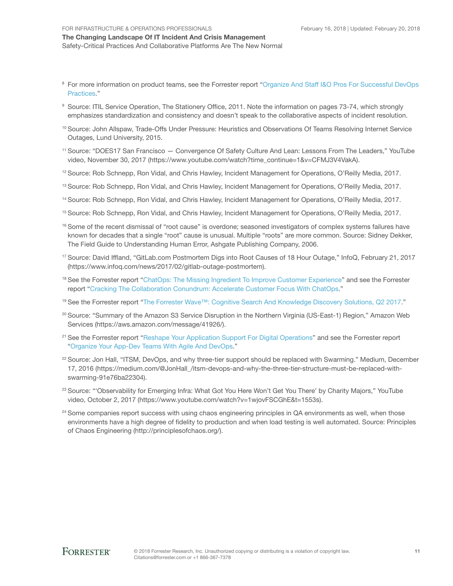#### The Changing Landscape Of IT Incident And Crisis Management Safety-Critical Practices And Collaborative Platforms Are The New Normal

- <sup>8</sup> For more information on product teams, see the Forrester report "Organize And Staff I&O Pros For Successful DevOps [Practices.](http://www.forrester.com/go?objectid=RES118906)"
- <sup>9</sup> Source: ITIL Service Operation, The Stationery Office, 2011. Note the information on pages 73-74, which strongly emphasizes standardization and consistency and doesn't speak to the collaborative aspects of incident resolution.
- <sup>10</sup> Source: John Allspaw, Trade-Offs Under Pressure: Heuristics and Observations Of Teams Resolving Internet Service Outages, Lund University, 2015.
- <sup>11</sup> Source: "DOES17 San Francisco Convergence Of Safety Culture And Lean: Lessons From The Leaders," YouTube video, November 30, 2017 (https://www.youtube.com/watch?time\_continue=1&v=CFMJ3V4VakA).
- <sup>12</sup> Source: Rob Schnepp, Ron Vidal, and Chris Hawley, Incident Management for Operations, O'Reilly Media, 2017.
- <sup>13</sup> Source: Rob Schnepp, Ron Vidal, and Chris Hawley, Incident Management for Operations, O'Reilly Media, 2017.
- <sup>14</sup> Source: Rob Schnepp, Ron Vidal, and Chris Hawley, Incident Management for Operations, O'Reilly Media, 2017.
- <sup>15</sup> Source: Rob Schnepp, Ron Vidal, and Chris Hawley, Incident Management for Operations, O'Reilly Media, 2017.
- 16 Some of the recent dismissal of "root cause" is overdone; seasoned investigators of complex systems failures have known for decades that a single "root" cause is unusual. Multiple "roots" are more common. Source: Sidney Dekker, The Field Guide to Understanding Human Error, Ashgate Publishing Company, 2006.
- <sup>17</sup> Source: David Iffland, "GitLab.com Postmortem Digs into Root Causes of 18 Hour Outage," InfoQ, February 21, 2017 (https://www.infoq.com/news/2017/02/gitlab-outage-postmortem).
- <sup>18</sup> See the Forrester report "[ChatOps: The Missing Ingredient To Improve Customer Experience](http://www.forrester.com/go?objectid=RES136146)" and see the Forrester report "[Cracking The Collaboration Conundrum: Accelerate Customer Focus With ChatOps.](http://www.forrester.com/go?objectid=RES137125)"
- <sup>19</sup> See the Forrester report "[The Forrester Wave™: Cognitive Search And Knowledge Discovery Solutions, Q2 2017](http://www.forrester.com/go?objectid=RES136544)."
- <sup>20</sup> Source: "Summary of the Amazon S3 Service Disruption in the Northern Virginia (US-East-1) Region," Amazon Web Services (https://aws.amazon.com/message/41926/).
- <sup>21</sup> See the Forrester report "[Reshape Your Application Support For Digital Operations"](http://www.forrester.com/go?objectid=RES137854) and see the Forrester report ["Organize Your App-Dev Teams With Agile And DevOps.](https://www.forrester.com/report/Organize+Your+AppDev+Teams+With+Agile+And+DevOps/-/E-RES115536?objectid=RES115536)"
- <sup>22</sup> Source: Jon Hall, "ITSM, DevOps, and why three-tier support should be replaced with Swarming." Medium, December 17, 2016 (https://medium.com/@JonHall\_/itsm-devops-and-why-the-three-tier-structure-must-be-replaced-withswarming-91e76ba22304).
- <sup>23</sup> Source: "'Observability for Emerging Infra: What Got You Here Won't Get You There' by Charity Majors," YouTube video, October 2, 2017 (https://www.youtube.com/watch?v=1wjovFSCGhE&t=1553s).
- <sup>24</sup> Some companies report success with using chaos engineering principles in QA environments as well, when those environments have a high degree of fidelity to production and when load testing is well automated. Source: Principles of Chaos Engineering (http://principlesofchaos.org/).